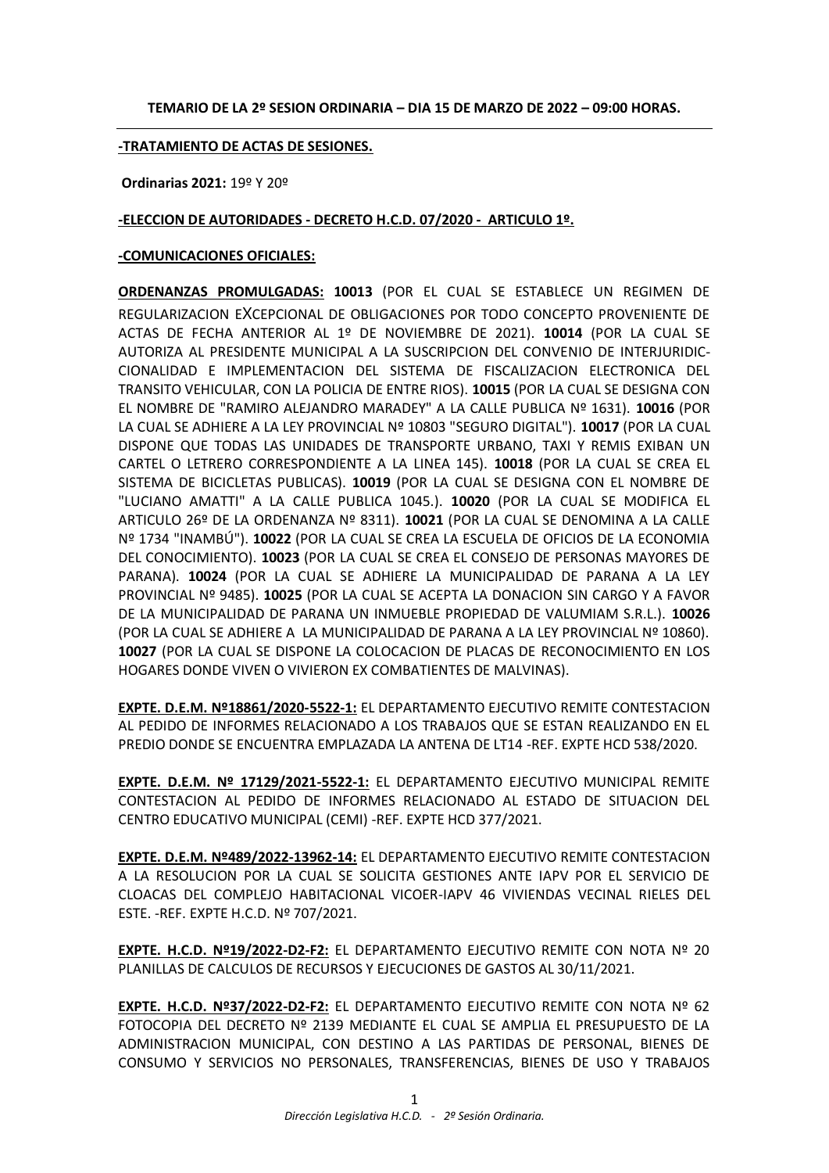### **TEMARIO DE LA 2º SESION ORDINARIA – DIA 15 DE MARZO DE 2022 – 09:00 HORAS.**

#### **-TRATAMIENTO DE ACTAS DE SESIONES.**

**Ordinarias 2021:** 19º Y 20º

#### **-ELECCION DE AUTORIDADES - DECRETO H.C.D. 07/2020 - ARTICULO 1º.**

#### **-COMUNICACIONES OFICIALES:**

**ORDENANZAS PROMULGADAS: 10013** (POR EL CUAL SE ESTABLECE UN REGIMEN DE REGULARIZACION EXCEPCIONAL DE OBLIGACIONES POR TODO CONCEPTO PROVENIENTE DE ACTAS DE FECHA ANTERIOR AL 1º DE NOVIEMBRE DE 2021). **10014** (POR LA CUAL SE AUTORIZA AL PRESIDENTE MUNICIPAL A LA SUSCRIPCION DEL CONVENIO DE INTERJURIDIC-CIONALIDAD E IMPLEMENTACION DEL SISTEMA DE FISCALIZACION ELECTRONICA DEL TRANSITO VEHICULAR, CON LA POLICIA DE ENTRE RIOS). **10015** (POR LA CUAL SE DESIGNA CON EL NOMBRE DE "RAMIRO ALEJANDRO MARADEY" A LA CALLE PUBLICA Nº 1631). **10016** (POR LA CUAL SE ADHIERE A LA LEY PROVINCIAL Nº 10803 "SEGURO DIGITAL"). **10017** (POR LA CUAL DISPONE QUE TODAS LAS UNIDADES DE TRANSPORTE URBANO, TAXI Y REMIS EXIBAN UN CARTEL O LETRERO CORRESPONDIENTE A LA LINEA 145). **10018** (POR LA CUAL SE CREA EL SISTEMA DE BICICLETAS PUBLICAS). **10019** (POR LA CUAL SE DESIGNA CON EL NOMBRE DE "LUCIANO AMATTI" A LA CALLE PUBLICA 1045.). **10020** (POR LA CUAL SE MODIFICA EL ARTICULO 26º DE LA ORDENANZA Nº 8311). **10021** (POR LA CUAL SE DENOMINA A LA CALLE Nº 1734 "INAMBÚ"). **10022** (POR LA CUAL SE CREA LA ESCUELA DE OFICIOS DE LA ECONOMIA DEL CONOCIMIENTO). **10023** (POR LA CUAL SE CREA EL CONSEJO DE PERSONAS MAYORES DE PARANA). **10024** (POR LA CUAL SE ADHIERE LA MUNICIPALIDAD DE PARANA A LA LEY PROVINCIAL Nº 9485). **10025** (POR LA CUAL SE ACEPTA LA DONACION SIN CARGO Y A FAVOR DE LA MUNICIPALIDAD DE PARANA UN INMUEBLE PROPIEDAD DE VALUMIAM S.R.L.). **10026** (POR LA CUAL SE ADHIERE A LA MUNICIPALIDAD DE PARANA A LA LEY PROVINCIAL Nº 10860). **10027** (POR LA CUAL SE DISPONE LA COLOCACION DE PLACAS DE RECONOCIMIENTO EN LOS HOGARES DONDE VIVEN O VIVIERON EX COMBATIENTES DE MALVINAS).

**EXPTE. D.E.M. Nº18861/2020-5522-1:** EL DEPARTAMENTO EJECUTIVO REMITE CONTESTACION AL PEDIDO DE INFORMES RELACIONADO A LOS TRABAJOS QUE SE ESTAN REALIZANDO EN EL PREDIO DONDE SE ENCUENTRA EMPLAZADA LA ANTENA DE LT14 -REF. EXPTE HCD 538/2020.

**EXPTE. D.E.M. Nº 17129/2021-5522-1:** EL DEPARTAMENTO EJECUTIVO MUNICIPAL REMITE CONTESTACION AL PEDIDO DE INFORMES RELACIONADO AL ESTADO DE SITUACION DEL CENTRO EDUCATIVO MUNICIPAL (CEMI) -REF. EXPTE HCD 377/2021.

**EXPTE. D.E.M. Nº489/2022-13962-14:** EL DEPARTAMENTO EJECUTIVO REMITE CONTESTACION A LA RESOLUCION POR LA CUAL SE SOLICITA GESTIONES ANTE IAPV POR EL SERVICIO DE CLOACAS DEL COMPLEJO HABITACIONAL VICOER-IAPV 46 VIVIENDAS VECINAL RIELES DEL ESTE. -REF. EXPTE H.C.D. Nº 707/2021.

**EXPTE. H.C.D. Nº19/2022-D2-F2:** EL DEPARTAMENTO EJECUTIVO REMITE CON NOTA Nº 20 PLANILLAS DE CALCULOS DE RECURSOS Y EJECUCIONES DE GASTOS AL 30/11/2021.

**EXPTE. H.C.D. Nº37/2022-D2-F2:** EL DEPARTAMENTO EJECUTIVO REMITE CON NOTA Nº 62 FOTOCOPIA DEL DECRETO Nº 2139 MEDIANTE EL CUAL SE AMPLIA EL PRESUPUESTO DE LA ADMINISTRACION MUNICIPAL, CON DESTINO A LAS PARTIDAS DE PERSONAL, BIENES DE CONSUMO Y SERVICIOS NO PERSONALES, TRANSFERENCIAS, BIENES DE USO Y TRABAJOS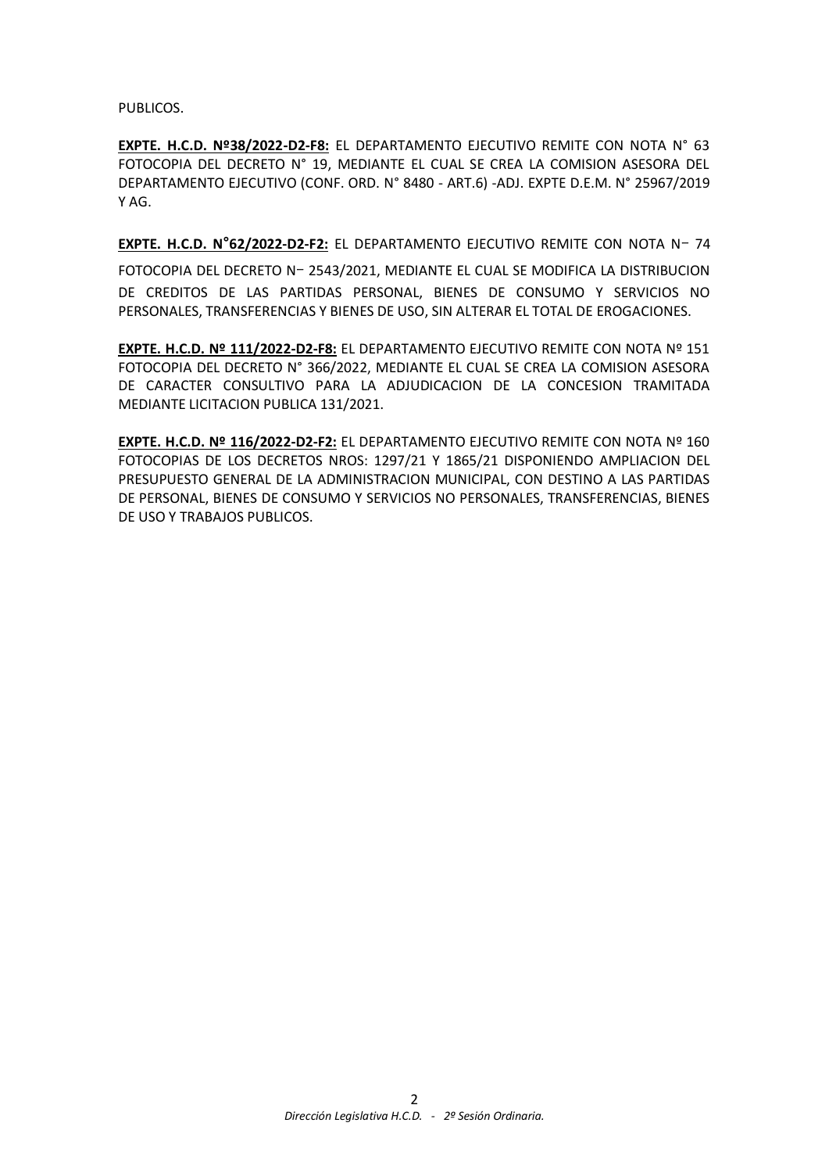PUBLICOS.

**EXPTE. H.C.D. Nº38/2022-D2-F8:** EL DEPARTAMENTO EJECUTIVO REMITE CON NOTA N° 63 FOTOCOPIA DEL DECRETO N° 19, MEDIANTE EL CUAL SE CREA LA COMISION ASESORA DEL DEPARTAMENTO EJECUTIVO (CONF. ORD. N° 8480 - ART.6) -ADJ. EXPTE D.E.M. N° 25967/2019 Y AG.

**EXPTE. H.C.D. N°62/2022-D2-F2:** EL DEPARTAMENTO EJECUTIVO REMITE CON NOTA Nー 74

FOTOCOPIA DEL DECRETO Nー 2543/2021, MEDIANTE EL CUAL SE MODIFICA LA DISTRIBUCION DE CREDITOS DE LAS PARTIDAS PERSONAL, BIENES DE CONSUMO Y SERVICIOS NO PERSONALES, TRANSFERENCIAS Y BIENES DE USO, SIN ALTERAR EL TOTAL DE EROGACIONES.

**EXPTE. H.C.D. Nº 111/2022-D2-F8:** EL DEPARTAMENTO EJECUTIVO REMITE CON NOTA Nº 151 FOTOCOPIA DEL DECRETO N° 366/2022, MEDIANTE EL CUAL SE CREA LA COMISION ASESORA DE CARACTER CONSULTIVO PARA LA ADJUDICACION DE LA CONCESION TRAMITADA MEDIANTE LICITACION PUBLICA 131/2021.

**EXPTE. H.C.D. Nº 116/2022-D2-F2:** EL DEPARTAMENTO EJECUTIVO REMITE CON NOTA Nº 160 FOTOCOPIAS DE LOS DECRETOS NROS: 1297/21 Y 1865/21 DISPONIENDO AMPLIACION DEL PRESUPUESTO GENERAL DE LA ADMINISTRACION MUNICIPAL, CON DESTINO A LAS PARTIDAS DE PERSONAL, BIENES DE CONSUMO Y SERVICIOS NO PERSONALES, TRANSFERENCIAS, BIENES DE USO Y TRABAJOS PUBLICOS.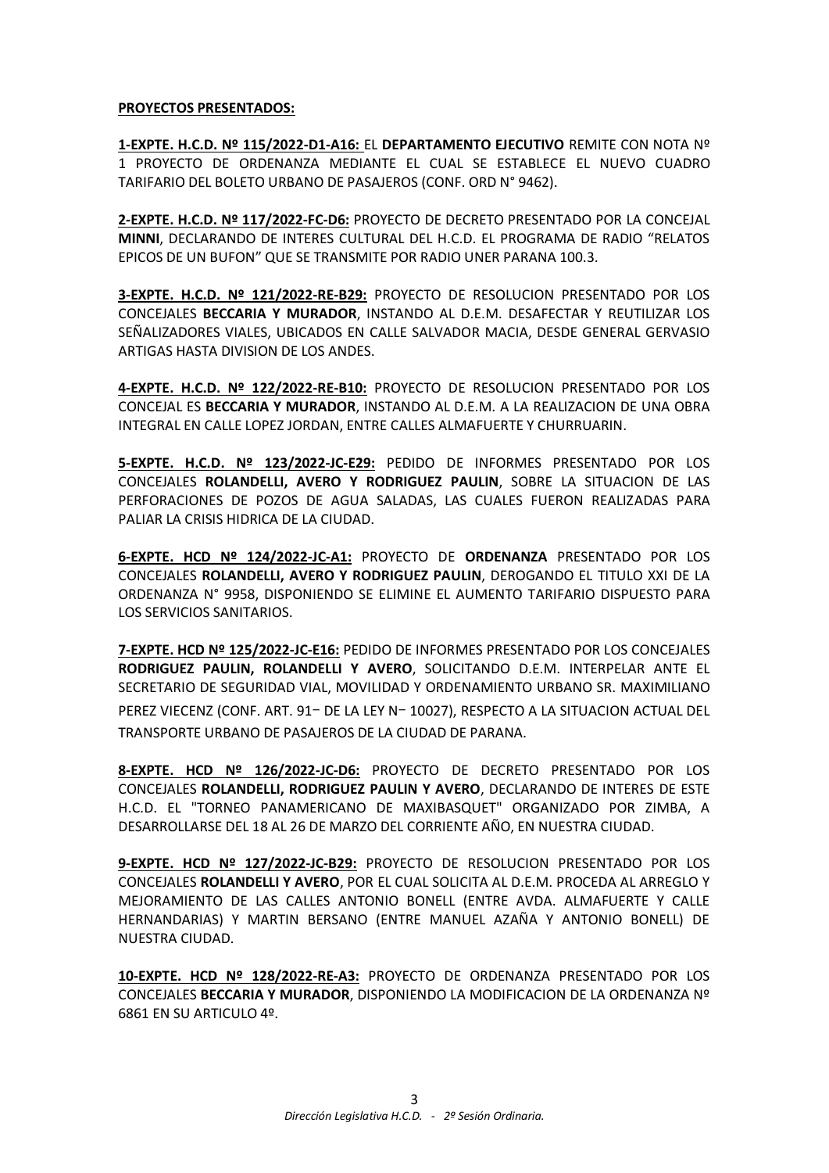# **PROYECTOS PRESENTADOS:**

**1-EXPTE. H.C.D. Nº 115/2022-D1-A16:** EL **DEPARTAMENTO EJECUTIVO** REMITE CON NOTA Nº 1 PROYECTO DE ORDENANZA MEDIANTE EL CUAL SE ESTABLECE EL NUEVO CUADRO TARIFARIO DEL BOLETO URBANO DE PASAJEROS (CONF. ORD N° 9462).

**2-EXPTE. H.C.D. Nº 117/2022-FC-D6:** PROYECTO DE DECRETO PRESENTADO POR LA CONCEJAL **MINNI**, DECLARANDO DE INTERES CULTURAL DEL H.C.D. EL PROGRAMA DE RADIO "RELATOS EPICOS DE UN BUFON" QUE SE TRANSMITE POR RADIO UNER PARANA 100.3.

**3-EXPTE. H.C.D. Nº 121/2022-RE-B29:** PROYECTO DE RESOLUCION PRESENTADO POR LOS CONCEJALES **BECCARIA Y MURADOR**, INSTANDO AL D.E.M. DESAFECTAR Y REUTILIZAR LOS SEÑALIZADORES VIALES, UBICADOS EN CALLE SALVADOR MACIA, DESDE GENERAL GERVASIO ARTIGAS HASTA DIVISION DE LOS ANDES.

**4-EXPTE. H.C.D. Nº 122/2022-RE-B10:** PROYECTO DE RESOLUCION PRESENTADO POR LOS CONCEJAL ES **BECCARIA Y MURADOR**, INSTANDO AL D.E.M. A LA REALIZACION DE UNA OBRA INTEGRAL EN CALLE LOPEZ JORDAN, ENTRE CALLES ALMAFUERTE Y CHURRUARIN.

**5-EXPTE. H.C.D. Nº 123/2022-JC-E29:** PEDIDO DE INFORMES PRESENTADO POR LOS CONCEJALES **ROLANDELLI, AVERO Y RODRIGUEZ PAULIN**, SOBRE LA SITUACION DE LAS PERFORACIONES DE POZOS DE AGUA SALADAS, LAS CUALES FUERON REALIZADAS PARA PALIAR LA CRISIS HIDRICA DE LA CIUDAD.

**6-EXPTE. HCD Nº 124/2022-JC-A1:** PROYECTO DE **ORDENANZA** PRESENTADO POR LOS CONCEJALES **ROLANDELLI, AVERO Y RODRIGUEZ PAULIN**, DEROGANDO EL TITULO XXI DE LA ORDENANZA N° 9958, DISPONIENDO SE ELIMINE EL AUMENTO TARIFARIO DISPUESTO PARA LOS SERVICIOS SANITARIOS.

**7-EXPTE. HCD Nº 125/2022-JC-E16:** PEDIDO DE INFORMES PRESENTADO POR LOS CONCEJALES **RODRIGUEZ PAULIN, ROLANDELLI Y AVERO**, SOLICITANDO D.E.M. INTERPELAR ANTE EL SECRETARIO DE SEGURIDAD VIAL, MOVILIDAD Y ORDENAMIENTO URBANO SR. MAXIMILIANO PEREZ VIECENZ (CONF. ART. 91ー DE LA LEY Nー 10027), RESPECTO A LA SITUACION ACTUAL DEL TRANSPORTE URBANO DE PASAJEROS DE LA CIUDAD DE PARANA.

**8-EXPTE. HCD Nº 126/2022-JC-D6:** PROYECTO DE DECRETO PRESENTADO POR LOS CONCEJALES **ROLANDELLI, RODRIGUEZ PAULIN Y AVERO**, DECLARANDO DE INTERES DE ESTE H.C.D. EL "TORNEO PANAMERICANO DE MAXIBASQUET" ORGANIZADO POR ZIMBA, A DESARROLLARSE DEL 18 AL 26 DE MARZO DEL CORRIENTE AÑO, EN NUESTRA CIUDAD.

**9-EXPTE. HCD Nº 127/2022-JC-B29:** PROYECTO DE RESOLUCION PRESENTADO POR LOS CONCEJALES **ROLANDELLI Y AVERO**, POR EL CUAL SOLICITA AL D.E.M. PROCEDA AL ARREGLO Y MEJORAMIENTO DE LAS CALLES ANTONIO BONELL (ENTRE AVDA. ALMAFUERTE Y CALLE HERNANDARIAS) Y MARTIN BERSANO (ENTRE MANUEL AZAÑA Y ANTONIO BONELL) DE NUESTRA CIUDAD.

**10-EXPTE. HCD Nº 128/2022-RE-A3:** PROYECTO DE ORDENANZA PRESENTADO POR LOS CONCEJALES **BECCARIA Y MURADOR**, DISPONIENDO LA MODIFICACION DE LA ORDENANZA Nº 6861 EN SU ARTICULO 4º.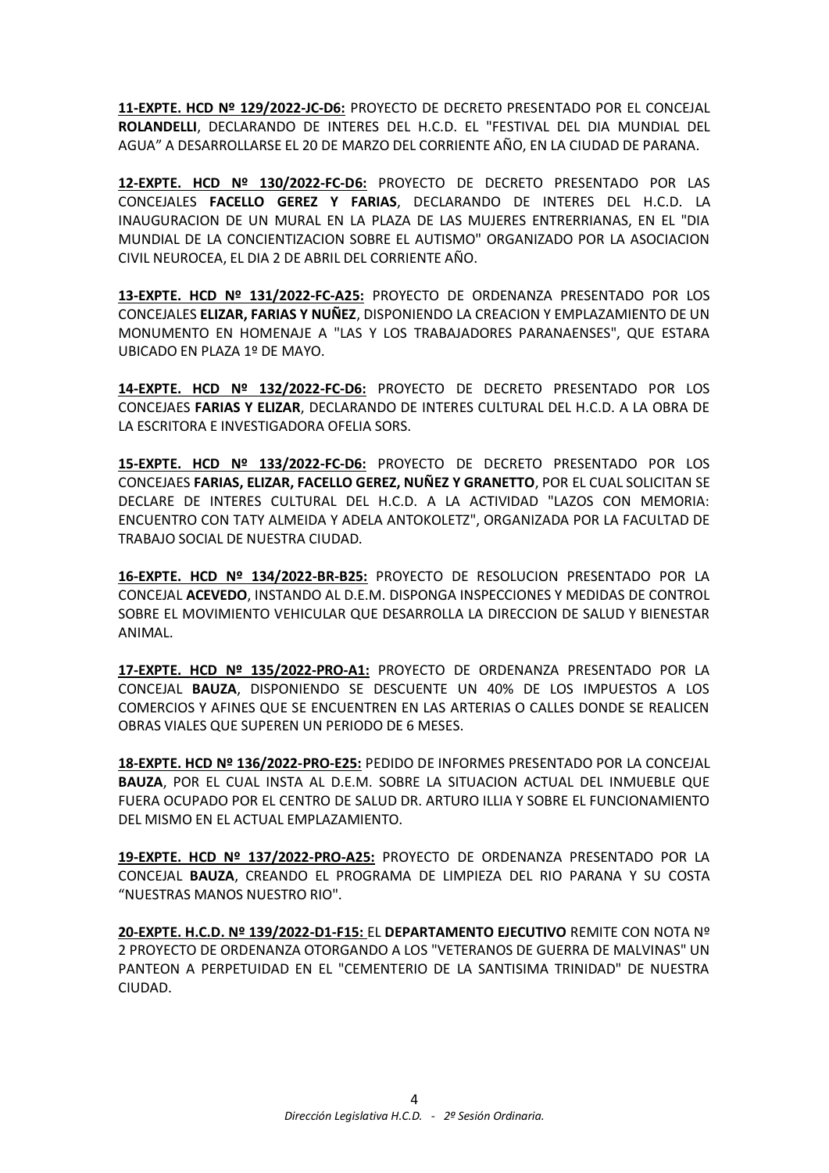**11-EXPTE. HCD Nº 129/2022-JC-D6:** PROYECTO DE DECRETO PRESENTADO POR EL CONCEJAL **ROLANDELLI**, DECLARANDO DE INTERES DEL H.C.D. EL "FESTIVAL DEL DIA MUNDIAL DEL AGUA" A DESARROLLARSE EL 20 DE MARZO DEL CORRIENTE AÑO, EN LA CIUDAD DE PARANA.

**12-EXPTE. HCD Nº 130/2022-FC-D6:** PROYECTO DE DECRETO PRESENTADO POR LAS CONCEJALES **FACELLO GEREZ Y FARIAS**, DECLARANDO DE INTERES DEL H.C.D. LA INAUGURACION DE UN MURAL EN LA PLAZA DE LAS MUJERES ENTRERRIANAS, EN EL "DIA MUNDIAL DE LA CONCIENTIZACION SOBRE EL AUTISMO" ORGANIZADO POR LA ASOCIACION CIVIL NEUROCEA, EL DIA 2 DE ABRIL DEL CORRIENTE AÑO.

**13-EXPTE. HCD Nº 131/2022-FC-A25:** PROYECTO DE ORDENANZA PRESENTADO POR LOS CONCEJALES **ELIZAR, FARIAS Y NUÑEZ**, DISPONIENDO LA CREACION Y EMPLAZAMIENTO DE UN MONUMENTO EN HOMENAJE A "LAS Y LOS TRABAJADORES PARANAENSES", QUE ESTARA UBICADO EN PLAZA 1º DE MAYO.

**14-EXPTE. HCD Nº 132/2022-FC-D6:** PROYECTO DE DECRETO PRESENTADO POR LOS CONCEJAES **FARIAS Y ELIZAR**, DECLARANDO DE INTERES CULTURAL DEL H.C.D. A LA OBRA DE LA ESCRITORA E INVESTIGADORA OFELIA SORS.

**15-EXPTE. HCD Nº 133/2022-FC-D6:** PROYECTO DE DECRETO PRESENTADO POR LOS CONCEJAES **FARIAS, ELIZAR, FACELLO GEREZ, NUÑEZ Y GRANETTO**, POR EL CUAL SOLICITAN SE DECLARE DE INTERES CULTURAL DEL H.C.D. A LA ACTIVIDAD "LAZOS CON MEMORIA: ENCUENTRO CON TATY ALMEIDA Y ADELA ANTOKOLETZ", ORGANIZADA POR LA FACULTAD DE TRABAJO SOCIAL DE NUESTRA CIUDAD.

**16-EXPTE. HCD Nº 134/2022-BR-B25:** PROYECTO DE RESOLUCION PRESENTADO POR LA CONCEJAL **ACEVEDO**, INSTANDO AL D.E.M. DISPONGA INSPECCIONES Y MEDIDAS DE CONTROL SOBRE EL MOVIMIENTO VEHICULAR QUE DESARROLLA LA DIRECCION DE SALUD Y BIENESTAR ANIMAL.

**17-EXPTE. HCD Nº 135/2022-PRO-A1:** PROYECTO DE ORDENANZA PRESENTADO POR LA CONCEJAL **BAUZA**, DISPONIENDO SE DESCUENTE UN 40% DE LOS IMPUESTOS A LOS COMERCIOS Y AFINES QUE SE ENCUENTREN EN LAS ARTERIAS O CALLES DONDE SE REALICEN OBRAS VIALES QUE SUPEREN UN PERIODO DE 6 MESES.

**18-EXPTE. HCD Nº 136/2022-PRO-E25:** PEDIDO DE INFORMES PRESENTADO POR LA CONCEJAL **BAUZA**, POR EL CUAL INSTA AL D.E.M. SOBRE LA SITUACION ACTUAL DEL INMUEBLE QUE FUERA OCUPADO POR EL CENTRO DE SALUD DR. ARTURO ILLIA Y SOBRE EL FUNCIONAMIENTO DEL MISMO EN EL ACTUAL EMPLAZAMIENTO.

**19-EXPTE. HCD Nº 137/2022-PRO-A25:** PROYECTO DE ORDENANZA PRESENTADO POR LA CONCEJAL **BAUZA**, CREANDO EL PROGRAMA DE LIMPIEZA DEL RIO PARANA Y SU COSTA "NUESTRAS MANOS NUESTRO RIO".

**20-EXPTE. H.C.D. Nº 139/2022-D1-F15:** EL **DEPARTAMENTO EJECUTIVO** REMITE CON NOTA Nº 2 PROYECTO DE ORDENANZA OTORGANDO A LOS "VETERANOS DE GUERRA DE MALVINAS" UN PANTEON A PERPETUIDAD EN EL "CEMENTERIO DE LA SANTISIMA TRINIDAD" DE NUESTRA CIUDAD.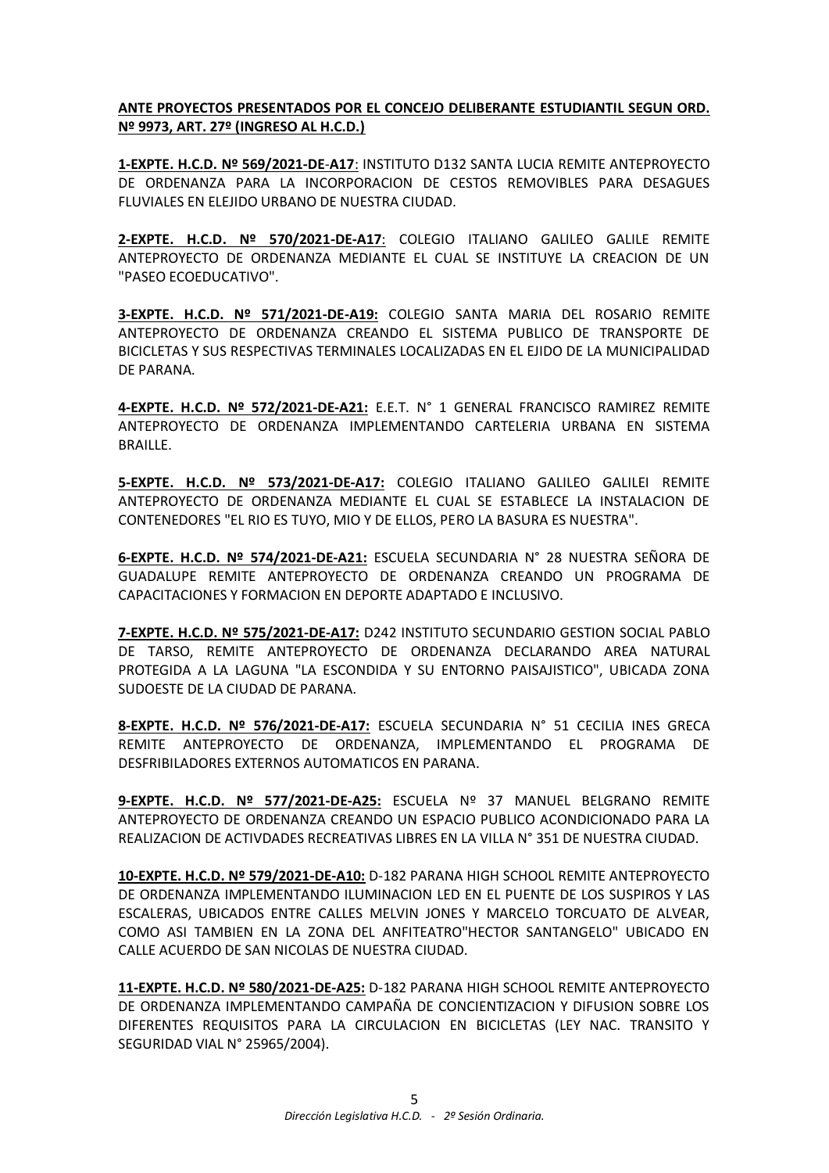**ANTE PROYECTOS PRESENTADOS POR EL CONCEJO DELIBERANTE ESTUDIANTIL SEGUN ORD. Nº 9973, ART. 27º (INGRESO AL H.C.D.)**

**1-EXPTE. H.C.D. Nº 569/2021-DE**-**A17**: INSTITUTO D132 SANTA LUCIA REMITE ANTEPROYECTO DE ORDENANZA PARA LA INCORPORACION DE CESTOS REMOVIBLES PARA DESAGUES FLUVIALES EN ELEJIDO URBANO DE NUESTRA CIUDAD.

**2-EXPTE. H.C.D. Nº 570/2021-DE-A17**: COLEGIO ITALIANO GALILEO GALILE REMITE ANTEPROYECTO DE ORDENANZA MEDIANTE EL CUAL SE INSTITUYE LA CREACION DE UN "PASEO ECOEDUCATIVO".

**3-EXPTE. H.C.D. Nº 571/2021-DE-A19:** COLEGIO SANTA MARIA DEL ROSARIO REMITE ANTEPROYECTO DE ORDENANZA CREANDO EL SISTEMA PUBLICO DE TRANSPORTE DE BICICLETAS Y SUS RESPECTIVAS TERMINALES LOCALIZADAS EN EL EJIDO DE LA MUNICIPALIDAD DE PARANA.

**4-EXPTE. H.C.D. Nº 572/2021-DE-A21:** E.E.T. N° 1 GENERAL FRANCISCO RAMIREZ REMITE ANTEPROYECTO DE ORDENANZA IMPLEMENTANDO CARTELERIA URBANA EN SISTEMA BRAILLE.

**5-EXPTE. H.C.D. Nº 573/2021-DE-A17:** COLEGIO ITALIANO GALILEO GALILEI REMITE ANTEPROYECTO DE ORDENANZA MEDIANTE EL CUAL SE ESTABLECE LA INSTALACION DE CONTENEDORES "EL RIO ES TUYO, MIO Y DE ELLOS, PERO LA BASURA ES NUESTRA".

**6-EXPTE. H.C.D. Nº 574/2021-DE-A21:** ESCUELA SECUNDARIA N° 28 NUESTRA SEÑORA DE GUADALUPE REMITE ANTEPROYECTO DE ORDENANZA CREANDO UN PROGRAMA DE CAPACITACIONES Y FORMACION EN DEPORTE ADAPTADO E INCLUSIVO.

**7-EXPTE. H.C.D. Nº 575/2021-DE-A17:** D242 INSTITUTO SECUNDARIO GESTION SOCIAL PABLO DE TARSO, REMITE ANTEPROYECTO DE ORDENANZA DECLARANDO AREA NATURAL PROTEGIDA A LA LAGUNA "LA ESCONDIDA Y SU ENTORNO PAISAJISTICO", UBICADA ZONA SUDOESTE DE LA CIUDAD DE PARANA.

**8-EXPTE. H.C.D. Nº 576/2021-DE-A17:** ESCUELA SECUNDARIA N° 51 CECILIA INES GRECA REMITE ANTEPROYECTO DE ORDENANZA, IMPLEMENTANDO EL PROGRAMA DE DESFRIBILADORES EXTERNOS AUTOMATICOS EN PARANA.

**9-EXPTE. H.C.D. Nº 577/2021-DE-A25:** ESCUELA Nº 37 MANUEL BELGRANO REMITE ANTEPROYECTO DE ORDENANZA CREANDO UN ESPACIO PUBLICO ACONDICIONADO PARA LA REALIZACION DE ACTIVDADES RECREATIVAS LIBRES EN LA VILLA N° 351 DE NUESTRA CIUDAD.

**10-EXPTE. H.C.D. Nº 579/2021-DE-A10:** D-182 PARANA HIGH SCHOOL REMITE ANTEPROYECTO DE ORDENANZA IMPLEMENTANDO ILUMINACION LED EN EL PUENTE DE LOS SUSPIROS Y LAS ESCALERAS, UBICADOS ENTRE CALLES MELVIN JONES Y MARCELO TORCUATO DE ALVEAR, COMO ASI TAMBIEN EN LA ZONA DEL ANFITEATRO"HECTOR SANTANGELO" UBICADO EN CALLE ACUERDO DE SAN NICOLAS DE NUESTRA CIUDAD.

**11-EXPTE. H.C.D. Nº 580/2021-DE-A25:** D-182 PARANA HIGH SCHOOL REMITE ANTEPROYECTO DE ORDENANZA IMPLEMENTANDO CAMPAÑA DE CONCIENTIZACION Y DIFUSION SOBRE LOS DIFERENTES REQUISITOS PARA LA CIRCULACION EN BICICLETAS (LEY NAC. TRANSITO Y SEGURIDAD VIAL N° 25965/2004).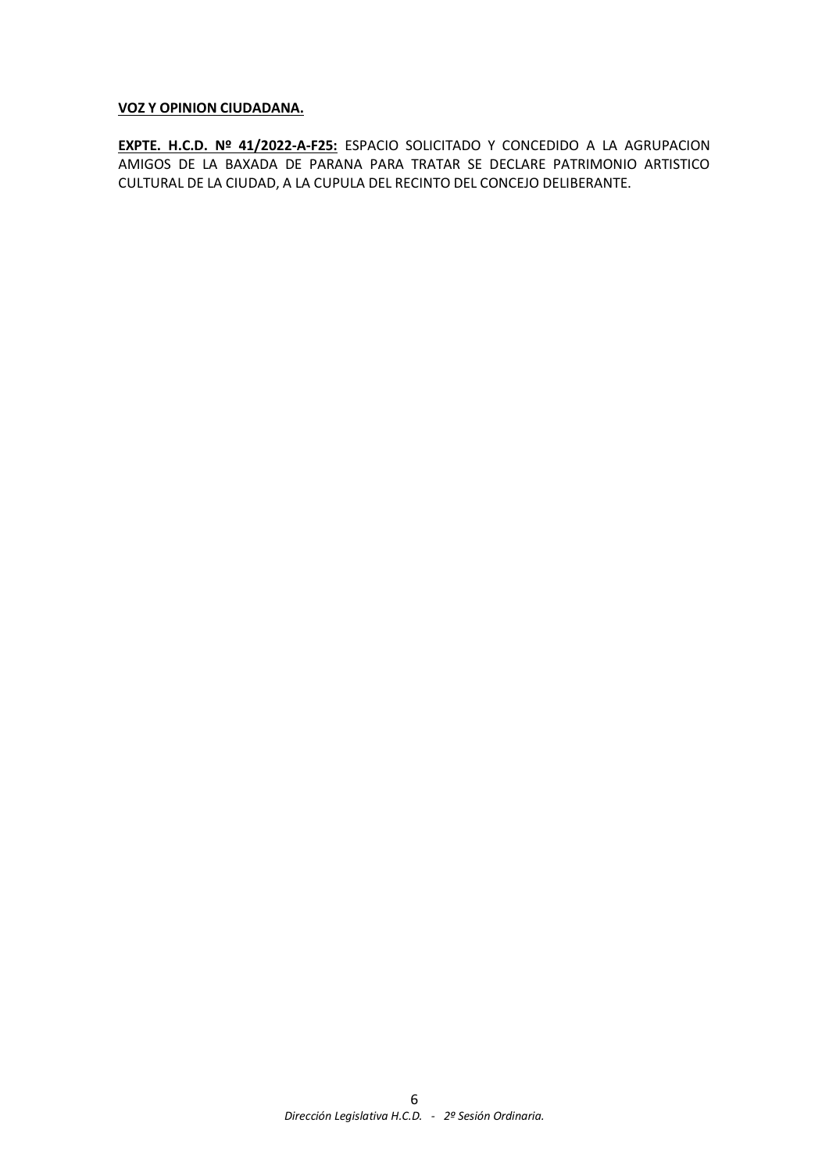# **VOZ Y OPINION CIUDADANA.**

**EXPTE. H.C.D. Nº 41/2022-A-F25:** ESPACIO SOLICITADO Y CONCEDIDO A LA AGRUPACION AMIGOS DE LA BAXADA DE PARANA PARA TRATAR SE DECLARE PATRIMONIO ARTISTICO CULTURAL DE LA CIUDAD, A LA CUPULA DEL RECINTO DEL CONCEJO DELIBERANTE.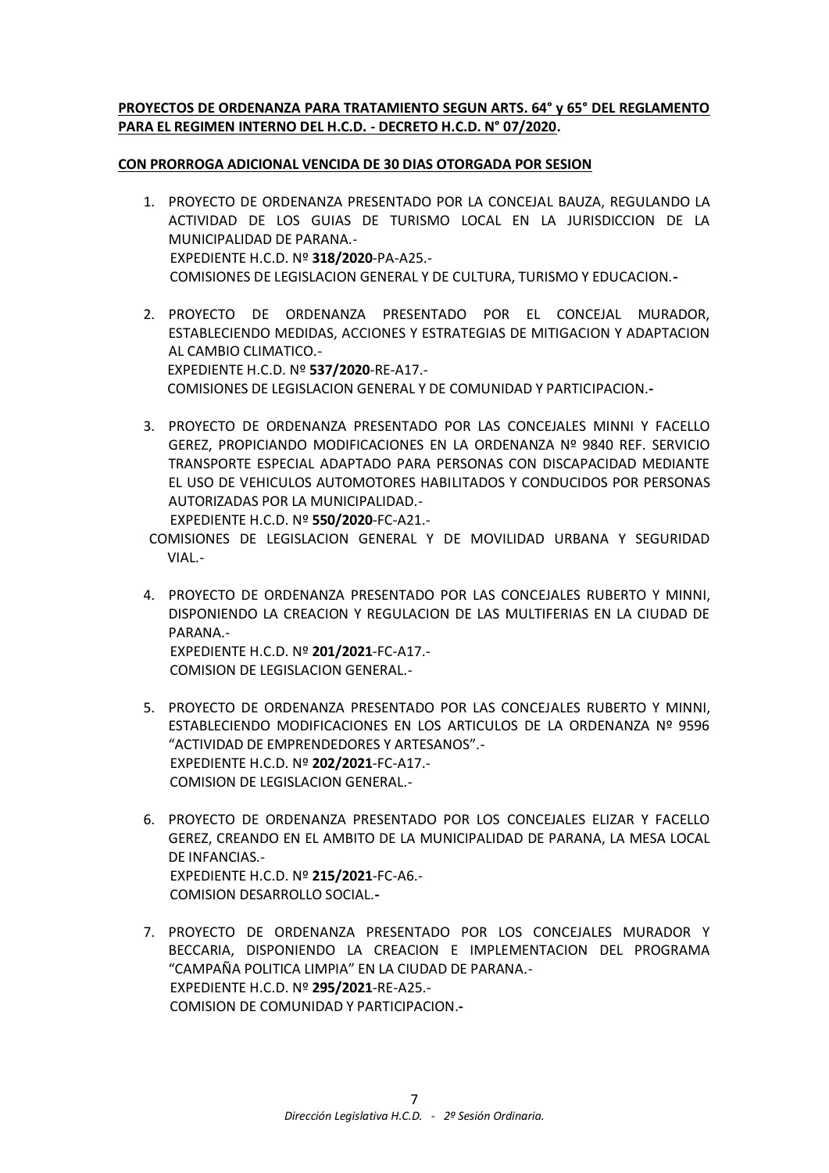# **PROYECTOS DE ORDENANZA PARA TRATAMIENTO SEGUN ARTS. 64° y 65° DEL REGLAMENTO PARA EL REGIMEN INTERNO DEL H.C.D. - DECRETO H.C.D. N° 07/2020.**

# **CON PRORROGA ADICIONAL VENCIDA DE 30 DIAS OTORGADA POR SESION**

- 1. PROYECTO DE ORDENANZA PRESENTADO POR LA CONCEJAL BAUZA, REGULANDO LA ACTIVIDAD DE LOS GUIAS DE TURISMO LOCAL EN LA JURISDICCION DE LA MUNICIPALIDAD DE PARANA.- EXPEDIENTE H.C.D. Nº **318/2020**-PA-A25.- COMISIONES DE LEGISLACION GENERAL Y DE CULTURA, TURISMO Y EDUCACION.**-**
- 2. PROYECTO DE ORDENANZA PRESENTADO POR EL CONCEJAL MURADOR, ESTABLECIENDO MEDIDAS, ACCIONES Y ESTRATEGIAS DE MITIGACION Y ADAPTACION AL CAMBIO CLIMATICO.- EXPEDIENTE H.C.D. Nº **537/2020**-RE-A17.- COMISIONES DE LEGISLACION GENERAL Y DE COMUNIDAD Y PARTICIPACION.**-**
- 3. PROYECTO DE ORDENANZA PRESENTADO POR LAS CONCEJALES MINNI Y FACELLO GEREZ, PROPICIANDO MODIFICACIONES EN LA ORDENANZA Nº 9840 REF. SERVICIO TRANSPORTE ESPECIAL ADAPTADO PARA PERSONAS CON DISCAPACIDAD MEDIANTE EL USO DE VEHICULOS AUTOMOTORES HABILITADOS Y CONDUCIDOS POR PERSONAS AUTORIZADAS POR LA MUNICIPALIDAD.-

EXPEDIENTE H.C.D. Nº **550/2020**-FC-A21.-

- COMISIONES DE LEGISLACION GENERAL Y DE MOVILIDAD URBANA Y SEGURIDAD VIAL.-
- 4. PROYECTO DE ORDENANZA PRESENTADO POR LAS CONCEJALES RUBERTO Y MINNI, DISPONIENDO LA CREACION Y REGULACION DE LAS MULTIFERIAS EN LA CIUDAD DE PARANA.- EXPEDIENTE H.C.D. Nº **201/2021**-FC-A17.- COMISION DE LEGISLACION GENERAL.-
- 5. PROYECTO DE ORDENANZA PRESENTADO POR LAS CONCEJALES RUBERTO Y MINNI, ESTABLECIENDO MODIFICACIONES EN LOS ARTICULOS DE LA ORDENANZA Nº 9596 "ACTIVIDAD DE EMPRENDEDORES Y ARTESANOS".- EXPEDIENTE H.C.D. Nº **202/2021**-FC-A17.- COMISION DE LEGISLACION GENERAL.-
- 6. PROYECTO DE ORDENANZA PRESENTADO POR LOS CONCEJALES ELIZAR Y FACELLO GEREZ, CREANDO EN EL AMBITO DE LA MUNICIPALIDAD DE PARANA, LA MESA LOCAL DE INFANCIAS.- EXPEDIENTE H.C.D. Nº **215/2021**-FC-A6.- COMISION DESARROLLO SOCIAL.**-**
- 7. PROYECTO DE ORDENANZA PRESENTADO POR LOS CONCEJALES MURADOR Y BECCARIA, DISPONIENDO LA CREACION E IMPLEMENTACION DEL PROGRAMA "CAMPAÑA POLITICA LIMPIA" EN LA CIUDAD DE PARANA.- EXPEDIENTE H.C.D. Nº **295/2021**-RE-A25.- COMISION DE COMUNIDAD Y PARTICIPACION.**-**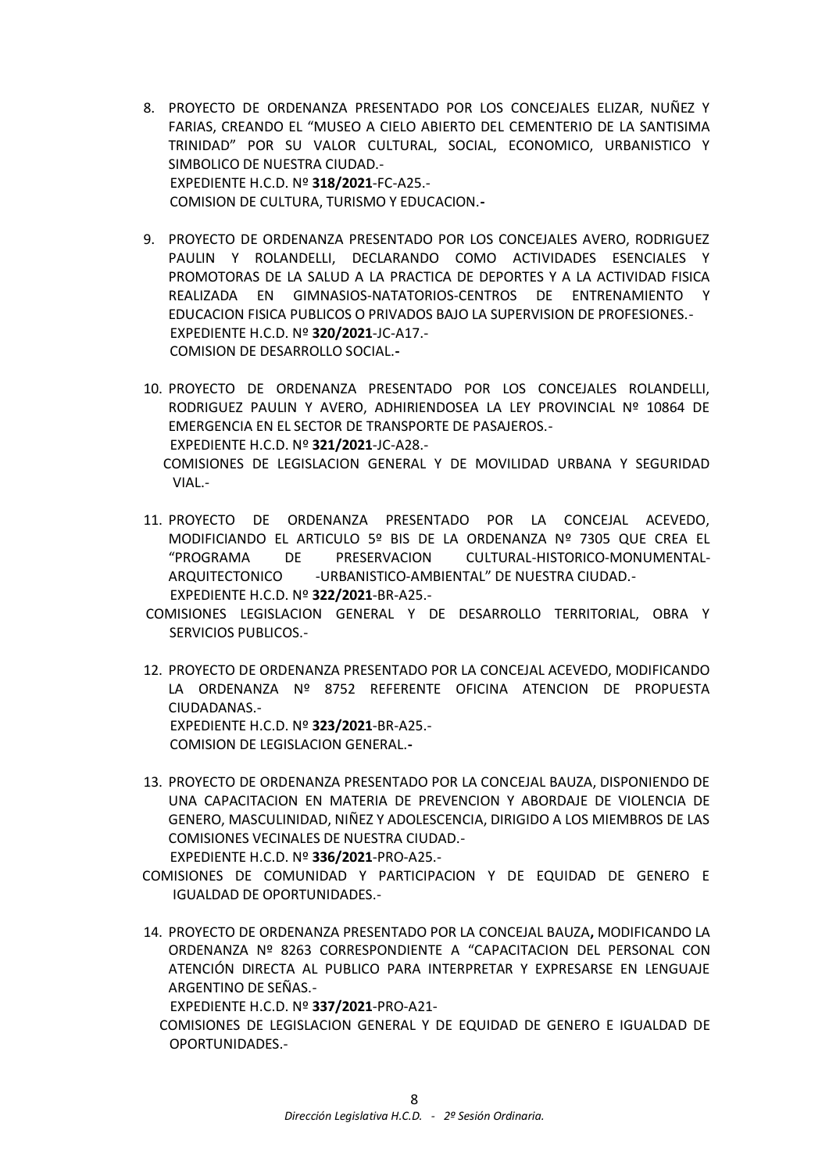- 8. PROYECTO DE ORDENANZA PRESENTADO POR LOS CONCEJALES ELIZAR, NUÑEZ Y FARIAS, CREANDO EL "MUSEO A CIELO ABIERTO DEL CEMENTERIO DE LA SANTISIMA TRINIDAD" POR SU VALOR CULTURAL, SOCIAL, ECONOMICO, URBANISTICO Y SIMBOLICO DE NUESTRA CIUDAD.- EXPEDIENTE H.C.D. Nº **318/2021**-FC-A25.- COMISION DE CULTURA, TURISMO Y EDUCACION.**-**
- 9. PROYECTO DE ORDENANZA PRESENTADO POR LOS CONCEJALES AVERO, RODRIGUEZ PAULIN Y ROLANDELLI, DECLARANDO COMO ACTIVIDADES ESENCIALES Y PROMOTORAS DE LA SALUD A LA PRACTICA DE DEPORTES Y A LA ACTIVIDAD FISICA REALIZADA EN GIMNASIOS-NATATORIOS-CENTROS DE ENTRENAMIENTO Y EDUCACION FISICA PUBLICOS O PRIVADOS BAJO LA SUPERVISION DE PROFESIONES.- EXPEDIENTE H.C.D. Nº **320/2021**-JC-A17.- COMISION DE DESARROLLO SOCIAL.**-**
- 10. PROYECTO DE ORDENANZA PRESENTADO POR LOS CONCEJALES ROLANDELLI, RODRIGUEZ PAULIN Y AVERO, ADHIRIENDOSEA LA LEY PROVINCIAL Nº 10864 DE EMERGENCIA EN EL SECTOR DE TRANSPORTE DE PASAJEROS.- EXPEDIENTE H.C.D. Nº **321/2021**-JC-A28.-

COMISIONES DE LEGISLACION GENERAL Y DE MOVILIDAD URBANA Y SEGURIDAD VIAL.-

- 11. PROYECTO DE ORDENANZA PRESENTADO POR LA CONCEJAL ACEVEDO, MODIFICIANDO EL ARTICULO 5º BIS DE LA ORDENANZA Nº 7305 QUE CREA EL "PROGRAMA DE PRESERVACION CULTURAL-HISTORICO-MONUMENTAL-ARQUITECTONICO - URBANISTICO-AMBIENTAL" DE NUESTRA CIUDAD.-EXPEDIENTE H.C.D. Nº **322/2021**-BR-A25.-
- COMISIONES LEGISLACION GENERAL Y DE DESARROLLO TERRITORIAL, OBRA Y SERVICIOS PUBLICOS.-
- 12. PROYECTO DE ORDENANZA PRESENTADO POR LA CONCEJAL ACEVEDO, MODIFICANDO LA ORDENANZA Nº 8752 REFERENTE OFICINA ATENCION DE PROPUESTA CIUDADANAS.- EXPEDIENTE H.C.D. Nº **323/2021**-BR-A25.-

COMISION DE LEGISLACION GENERAL.**-**

13. PROYECTO DE ORDENANZA PRESENTADO POR LA CONCEJAL BAUZA, DISPONIENDO DE UNA CAPACITACION EN MATERIA DE PREVENCION Y ABORDAJE DE VIOLENCIA DE GENERO, MASCULINIDAD, NIÑEZ Y ADOLESCENCIA, DIRIGIDO A LOS MIEMBROS DE LAS COMISIONES VECINALES DE NUESTRA CIUDAD.-

EXPEDIENTE H.C.D. Nº **336/2021**-PRO-A25.-

- COMISIONES DE COMUNIDAD Y PARTICIPACION Y DE EQUIDAD DE GENERO E IGUALDAD DE OPORTUNIDADES.-
- 14. PROYECTO DE ORDENANZA PRESENTADO POR LA CONCEJAL BAUZA**,** MODIFICANDO LA ORDENANZA Nº 8263 CORRESPONDIENTE A "CAPACITACION DEL PERSONAL CON ATENCIÓN DIRECTA AL PUBLICO PARA INTERPRETAR Y EXPRESARSE EN LENGUAJE ARGENTINO DE SEÑAS.-

EXPEDIENTE H.C.D. Nº **337/2021**-PRO-A21-

COMISIONES DE LEGISLACION GENERAL Y DE EQUIDAD DE GENERO E IGUALDAD DE OPORTUNIDADES.-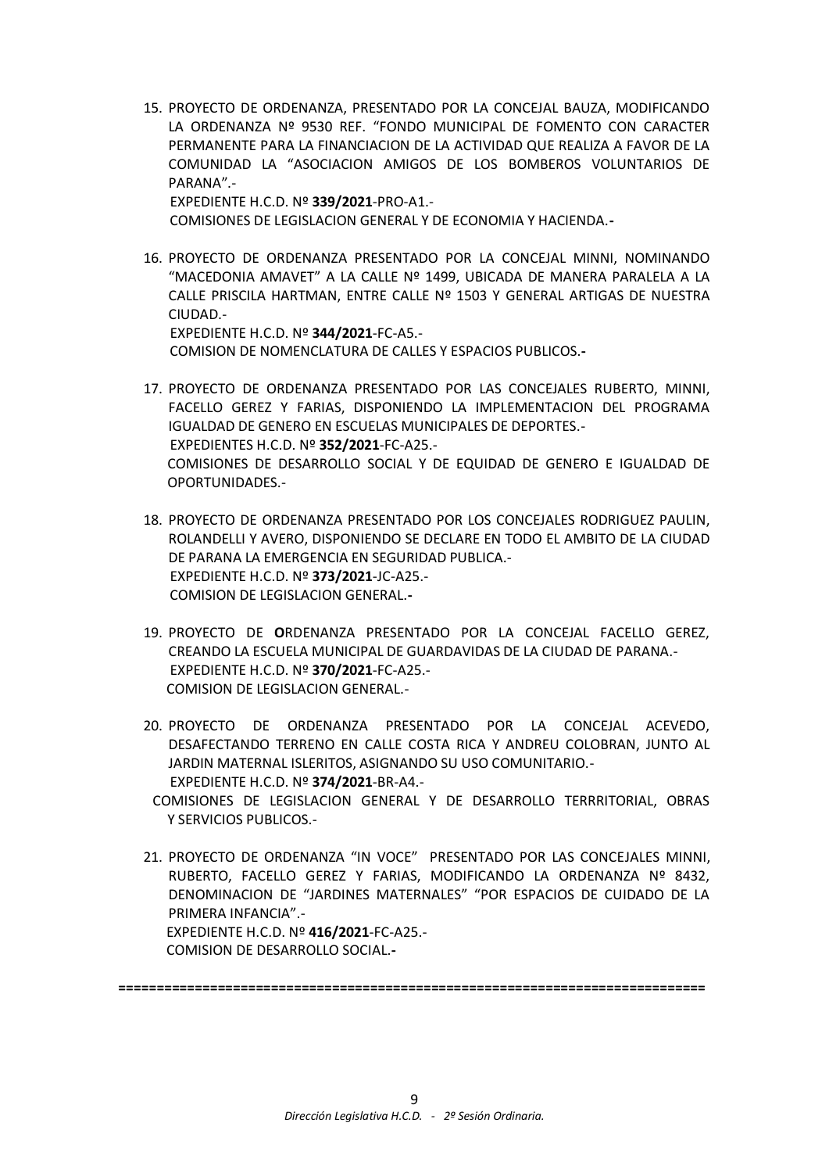15. PROYECTO DE ORDENANZA, PRESENTADO POR LA CONCEJAL BAUZA, MODIFICANDO LA ORDENANZA Nº 9530 REF. "FONDO MUNICIPAL DE FOMENTO CON CARACTER PERMANENTE PARA LA FINANCIACION DE LA ACTIVIDAD QUE REALIZA A FAVOR DE LA COMUNIDAD LA "ASOCIACION AMIGOS DE LOS BOMBEROS VOLUNTARIOS DE PARANA".-

EXPEDIENTE H.C.D. Nº **339/2021**-PRO-A1.-

COMISIONES DE LEGISLACION GENERAL Y DE ECONOMIA Y HACIENDA.**-**

16. PROYECTO DE ORDENANZA PRESENTADO POR LA CONCEJAL MINNI, NOMINANDO "MACEDONIA AMAVET" A LA CALLE Nº 1499, UBICADA DE MANERA PARALELA A LA CALLE PRISCILA HARTMAN, ENTRE CALLE Nº 1503 Y GENERAL ARTIGAS DE NUESTRA CIUDAD.-

 EXPEDIENTE H.C.D. Nº **344/2021**-FC-A5.- COMISION DE NOMENCLATURA DE CALLES Y ESPACIOS PUBLICOS.**-**

- 17. PROYECTO DE ORDENANZA PRESENTADO POR LAS CONCEJALES RUBERTO, MINNI, FACELLO GEREZ Y FARIAS, DISPONIENDO LA IMPLEMENTACION DEL PROGRAMA IGUALDAD DE GENERO EN ESCUELAS MUNICIPALES DE DEPORTES.- EXPEDIENTES H.C.D. Nº **352/2021**-FC-A25.- COMISIONES DE DESARROLLO SOCIAL Y DE EQUIDAD DE GENERO E IGUALDAD DE OPORTUNIDADES.-
- 18. PROYECTO DE ORDENANZA PRESENTADO POR LOS CONCEJALES RODRIGUEZ PAULIN, ROLANDELLI Y AVERO, DISPONIENDO SE DECLARE EN TODO EL AMBITO DE LA CIUDAD DE PARANA LA EMERGENCIA EN SEGURIDAD PUBLICA.- EXPEDIENTE H.C.D. Nº **373/2021**-JC-A25.- COMISION DE LEGISLACION GENERAL.**-**
- 19. PROYECTO DE **O**RDENANZA PRESENTADO POR LA CONCEJAL FACELLO GEREZ, CREANDO LA ESCUELA MUNICIPAL DE GUARDAVIDAS DE LA CIUDAD DE PARANA.- EXPEDIENTE H.C.D. Nº **370/2021**-FC-A25.- COMISION DE LEGISLACION GENERAL.-
- 20. PROYECTO DE ORDENANZA PRESENTADO POR LA CONCEJAL ACEVEDO, DESAFECTANDO TERRENO EN CALLE COSTA RICA Y ANDREU COLOBRAN, JUNTO AL JARDIN MATERNAL ISLERITOS, ASIGNANDO SU USO COMUNITARIO.- EXPEDIENTE H.C.D. Nº **374/2021**-BR-A4.-
- COMISIONES DE LEGISLACION GENERAL Y DE DESARROLLO TERRRITORIAL, OBRAS Y SERVICIOS PUBLICOS.-
- 21. PROYECTO DE ORDENANZA "IN VOCE" PRESENTADO POR LAS CONCEJALES MINNI, RUBERTO, FACELLO GEREZ Y FARIAS, MODIFICANDO LA ORDENANZA Nº 8432, DENOMINACION DE "JARDINES MATERNALES" "POR ESPACIOS DE CUIDADO DE LA PRIMERA INFANCIA".- EXPEDIENTE H.C.D. Nº **416/2021**-FC-A25.-

COMISION DE DESARROLLO SOCIAL.**-**

**=============================================================================**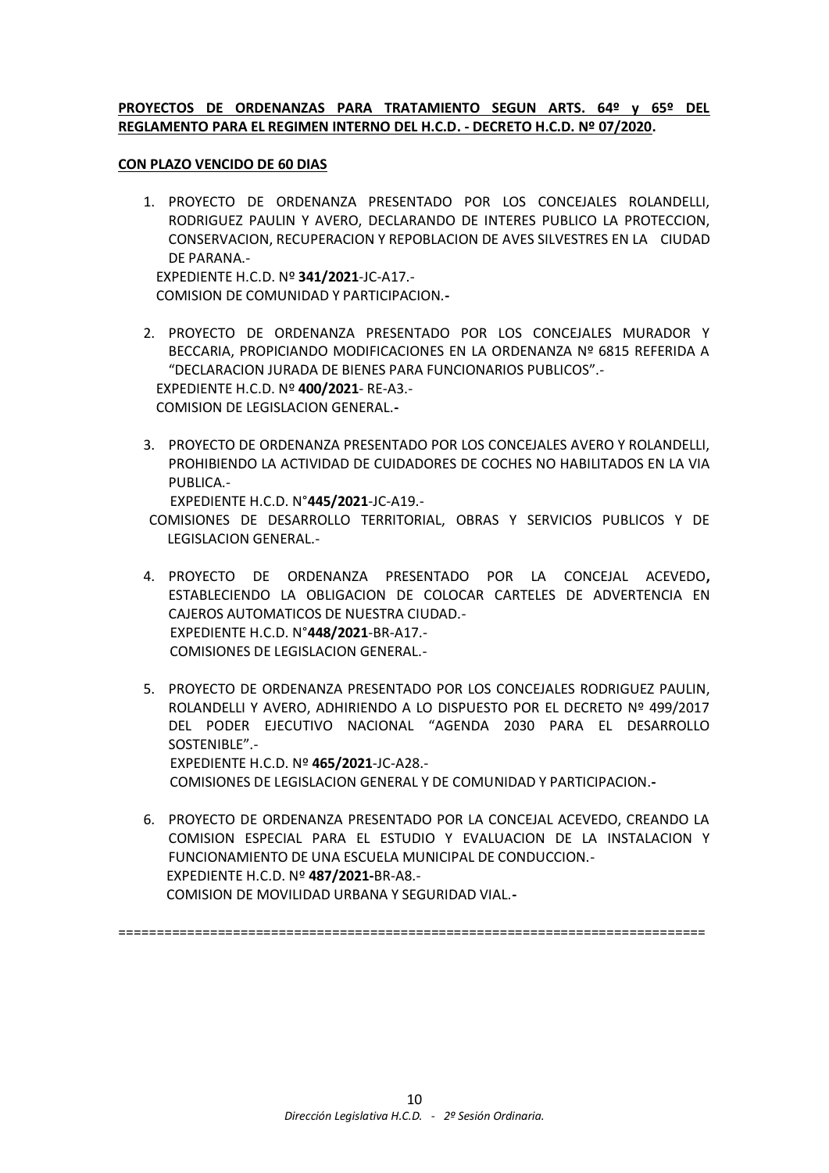## **PROYECTOS DE ORDENANZAS PARA TRATAMIENTO SEGUN ARTS. 64º y 65º DEL REGLAMENTO PARA EL REGIMEN INTERNO DEL H.C.D. - DECRETO H.C.D. Nº 07/2020.**

### **CON PLAZO VENCIDO DE 60 DIAS**

1. PROYECTO DE ORDENANZA PRESENTADO POR LOS CONCEJALES ROLANDELLI, RODRIGUEZ PAULIN Y AVERO, DECLARANDO DE INTERES PUBLICO LA PROTECCION, CONSERVACION, RECUPERACION Y REPOBLACION DE AVES SILVESTRES EN LA CIUDAD DE PARANA.-

 EXPEDIENTE H.C.D. Nº **341/2021**-JC-A17.- COMISION DE COMUNIDAD Y PARTICIPACION.**-**

- 2. PROYECTO DE ORDENANZA PRESENTADO POR LOS CONCEJALES MURADOR Y BECCARIA, PROPICIANDO MODIFICACIONES EN LA ORDENANZA Nº 6815 REFERIDA A "DECLARACION JURADA DE BIENES PARA FUNCIONARIOS PUBLICOS".- EXPEDIENTE H.C.D. Nº **400/2021**- RE-A3.- COMISION DE LEGISLACION GENERAL.**-**
- 3. PROYECTO DE ORDENANZA PRESENTADO POR LOS CONCEJALES AVERO Y ROLANDELLI, PROHIBIENDO LA ACTIVIDAD DE CUIDADORES DE COCHES NO HABILITADOS EN LA VIA PUBLICA.-

EXPEDIENTE H.C.D. N°**445/2021**-JC-A19.-

COMISIONES DE DESARROLLO TERRITORIAL, OBRAS Y SERVICIOS PUBLICOS Y DE LEGISLACION GENERAL.-

- 4. PROYECTO DE ORDENANZA PRESENTADO POR LA CONCEJAL ACEVEDO**,** ESTABLECIENDO LA OBLIGACION DE COLOCAR CARTELES DE ADVERTENCIA EN CAJEROS AUTOMATICOS DE NUESTRA CIUDAD.- EXPEDIENTE H.C.D. N°**448/2021**-BR-A17.- COMISIONES DE LEGISLACION GENERAL.-
- 5. PROYECTO DE ORDENANZA PRESENTADO POR LOS CONCEJALES RODRIGUEZ PAULIN, ROLANDELLI Y AVERO, ADHIRIENDO A LO DISPUESTO POR EL DECRETO Nº 499/2017 DEL PODER EJECUTIVO NACIONAL "AGENDA 2030 PARA EL DESARROLLO SOSTENIBLE".- EXPEDIENTE H.C.D. Nº **465/2021**-JC-A28.- COMISIONES DE LEGISLACION GENERAL Y DE COMUNIDAD Y PARTICIPACION.**-**
- 6. PROYECTO DE ORDENANZA PRESENTADO POR LA CONCEJAL ACEVEDO, CREANDO LA COMISION ESPECIAL PARA EL ESTUDIO Y EVALUACION DE LA INSTALACION Y FUNCIONAMIENTO DE UNA ESCUELA MUNICIPAL DE CONDUCCION.- EXPEDIENTE H.C.D. Nº **487/2021-**BR-A8.- COMISION DE MOVILIDAD URBANA Y SEGURIDAD VIAL.**-**

=============================================================================